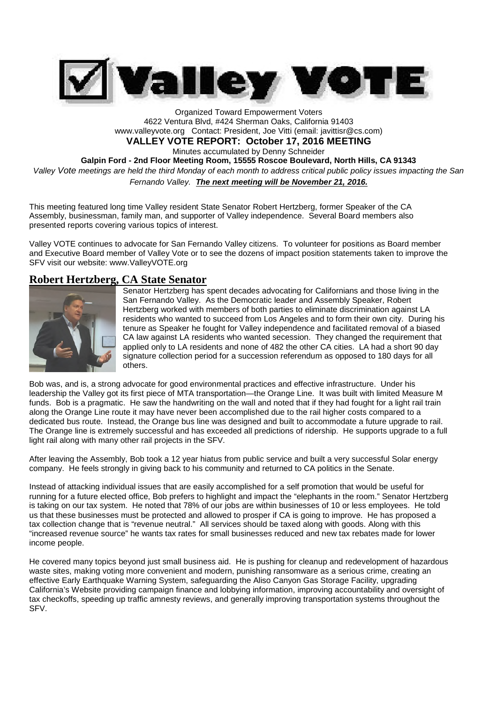

Organized Toward Empowerment Voters 4622 Ventura Blvd, #424 Sherman Oaks, California 91403 www.valleyvote.org Contact: President, Joe Vitti (email: javittisr@cs.com) **VALLEY VOTE REPORT: October 17, 2016 MEETING** Minutes accumulated by Denny Schneider **Galpin Ford - 2nd Floor Meeting Room, 15555 Roscoe Boulevard, North Hills, CA 91343** *Valley Vote meetings are held the third Monday of each month to address critical public policy issues impacting the San Fernando Valley. The next meeting will be November 21, 2016.*

This meeting featured long time Valley resident State Senator Robert Hertzberg, former Speaker of the CA Assembly, businessman, family man, and supporter of Valley independence. Several Board members also presented reports covering various topics of interest.

Valley VOTE continues to advocate for San Fernando Valley citizens. To volunteer for positions as Board member and Executive Board member of Valley Vote or to see the dozens of impact position statements taken to improve the SFV visit our website: www.ValleyVOTE.org

# **Robert Hertzberg, CA State Senator**



Senator Hertzberg has spent decades advocating for Californians and those living in the San Fernando Valley. As the Democratic leader and Assembly Speaker, Robert Hertzberg worked with members of both parties to eliminate discrimination against LA residents who wanted to succeed from Los Angeles and to form their own city. During his tenure as Speaker he fought for Valley independence and facilitated removal of a biased CA law against LA residents who wanted secession. They changed the requirement that applied only to LA residents and none of 482 the other CA cities. LA had a short 90 day signature collection period for a succession referendum as opposed to 180 days for all others.

Bob was, and is, a strong advocate for good environmental practices and effective infrastructure. Under his leadership the Valley got its first piece of MTA transportation—the Orange Line. It was built with limited Measure M funds. Bob is a pragmatic. He saw the handwriting on the wall and noted that if they had fought for a light rail train along the Orange Line route it may have never been accomplished due to the rail higher costs compared to a dedicated bus route. Instead, the Orange bus line was designed and built to accommodate a future upgrade to rail. The Orange line is extremely successful and has exceeded all predictions of ridership. He supports upgrade to a full light rail along with many other rail projects in the SFV.

After leaving the Assembly, Bob took a 12 year hiatus from public service and built a very successful Solar energy company. He feels strongly in giving back to his community and returned to CA politics in the Senate.

Instead of attacking individual issues that are easily accomplished for a self promotion that would be useful for running for a future elected office, Bob prefers to highlight and impact the "elephants in the room." Senator Hertzberg is taking on our tax system. He noted that 78% of our jobs are within businesses of 10 or less employees. He told us that these businesses must be protected and allowed to prosper if CA is going to improve. He has proposed a tax collection change that is "revenue neutral." All services should be taxed along with goods. Along with this "increased revenue source" he wants tax rates for small businesses reduced and new tax rebates made for lower income people.

He covered many topics beyond just small business aid. He is pushing for cleanup and redevelopment of hazardous waste sites, making voting more convenient and modern, punishing ransomware as a serious crime, creating an effective Early Earthquake Warning System, safeguarding the Aliso Canyon Gas Storage Facility, upgrading California's Website providing campaign finance and lobbying information, improving accountability and oversight of tax checkoffs, speeding up traffic amnesty reviews, and generally improving transportation systems throughout the SFV.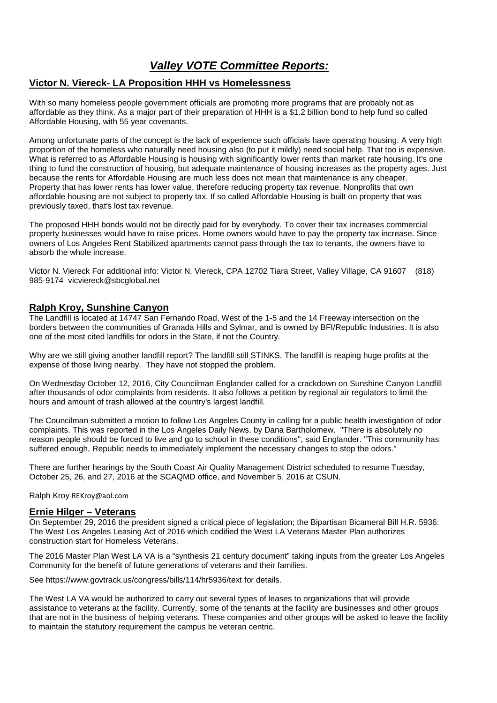# *Valley VOTE Committee Reports:*

## **Victor N. Viereck- LA Proposition HHH vs Homelessness**

With so many homeless people government officials are promoting more programs that are probably not as affordable as they think. As a major part of their preparation of HHH is a \$1.2 billion bond to help fund so called Affordable Housing, with 55 year covenants.

Among unfortunate parts of the concept is the lack of experience such officials have operating housing. A very high proportion of the homeless who naturally need housing also (to put it mildly) need social help. That too is expensive. What is referred to as Affordable Housing is housing with significantly lower rents than market rate housing. It's one thing to fund the construction of housing, but adequate maintenance of housing increases as the property ages. Just because the rents for Affordable Housing are much less does not mean that maintenance is any cheaper. Property that has lower rents has lower value, therefore reducing property tax revenue. Nonprofits that own affordable housing are not subject to property tax. If so called Affordable Housing is built on property that was previously taxed, that's lost tax revenue.

The proposed HHH bonds would not be directly paid for by everybody. To cover their tax increases commercial property businesses would have to raise prices. Home owners would have to pay the property tax increase. Since owners of Los Angeles Rent Stabilized apartments cannot pass through the tax to tenants, the owners have to absorb the whole increase.

Victor N. Viereck For additional info: Victor N. Viereck, CPA 12702 Tiara Street, Valley Village, CA 91607 (818) 985-9174 vicviereck@sbcglobal.net

## **Ralph Kroy, Sunshine Canyon**

The Landfill is located at 14747 San Fernando Road, West of the 1-5 and the 14 Freeway intersection on the borders between the communities of Granada Hills and Sylmar, and is owned by BFI/Republic Industries. It is also one of the most cited landfills for odors in the State, if not the Country.

Why are we still giving another landfill report? The landfill still STINKS. The landfill is reaping huge profits at the expense of those living nearby. They have not stopped the problem.

On Wednesday October 12, 2016, City Councilman Englander called for a crackdown on Sunshine Canyon Landfill after thousands of odor complaints from residents. It also follows a petition by regional air regulators to limit the hours and amount of trash allowed at the country's largest landfill.

The Councilman submitted a motion to follow Los Angeles County in calling for a public health investigation of odor complaints. This was reported in the Los Angeles Daily News, by Dana Bartholomew. "There is absolutely no reason people should be forced to live and go to school in these conditions", said Englander. "This community has suffered enough, Republic needs to immediately implement the necessary changes to stop the odors."

There are further hearings by the South Coast Air Quality Management District scheduled to resume Tuesday, October 25, 26, and 27, 2016 at the SCAQMD office, and November 5, 2016 at CSUN.

Ralph Kroy REKroy@aol.com

### **Ernie Hilger – Veterans**

On September 29, 2016 the president signed a critical piece of legislation; the Bipartisan Bicameral Bill H.R. 5936: The West Los Angeles Leasing Act of 2016 which codified the West LA Veterans Master Plan authorizes construction start for Homeless Veterans.

The 2016 Master Plan West LA VA is a "synthesis 21 century document" taking inputs from the greater Los Angeles Community for the benefit of future generations of veterans and their families.

See https://www.govtrack.us/congress/bills/114/hr5936/text for details.

The West LA VA would be authorized to carry out several types of leases to organizations that will provide assistance to veterans at the facility. Currently, some of the tenants at the facility are businesses and other groups that are not in the business of helping veterans. These companies and other groups will be asked to leave the facility to maintain the statutory requirement the campus be veteran centric.